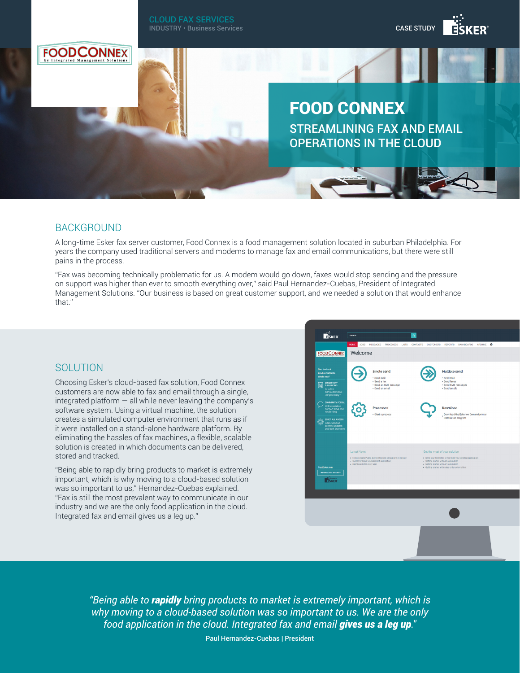

## BACKGROUND

A long-time Esker fax server customer, Food Connex is a food management solution located in suburban Philadelphia. For years the company used traditional servers and modems to manage fax and email communications, but there were still pains in the process.

"Fax was becoming technically problematic for us. A modem would go down, faxes would stop sending and the pressure on support was higher than ever to smooth everything over," said Paul Hernandez-Cuebas, President of Integrated Management Solutions. "Our business is based on great customer support, and we needed a solution that would enhance that."

## **SOLUTION**

Choosing Esker's cloud-based fax solution, Food Connex customers are now able to fax and email through a single, integrated platform  $-$  all while never leaving the company's software system. Using a virtual machine, the solution creates a simulated computer environment that runs as if it were installed on a stand-alone hardware platform. By eliminating the hassles of fax machines, a flexible, scalable solution is created in which documents can be delivered, stored and tracked.

"Being able to rapidly bring products to market is extremely important, which is why moving to a cloud-based solution was so important to us," Hernandez-Cuebas explained. "Fax is still the most prevalent way to communicate in our industry and we are the only food application in the cloud. Integrated fax and email gives us a leg up."



*"Being able to rapidly bring products to market is extremely important, which is why moving to a cloud-based solution was so important to us. We are the only food application in the cloud. Integrated fax and email gives us a leg up.″*

Paul Hernandez-Cuebas | President